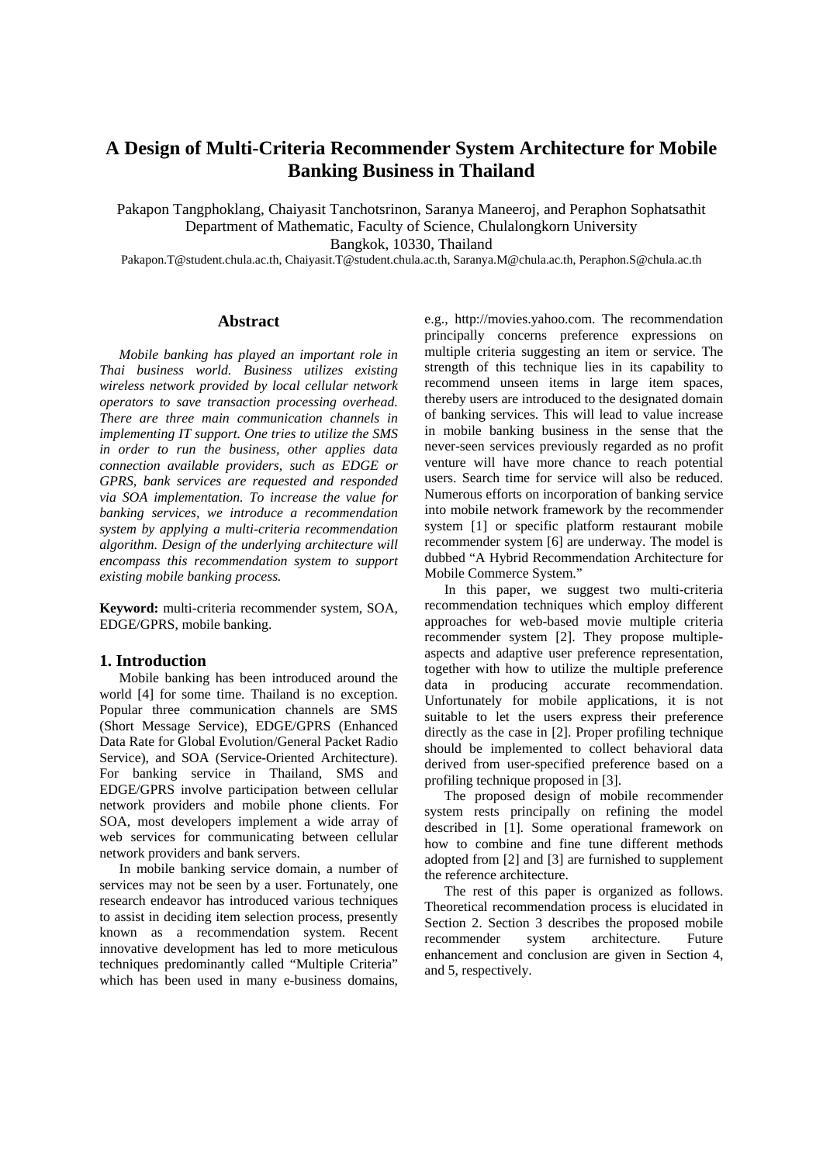# **A Design of Multi-Criteria Recommender System Architecture for Mobile Banking Business in Thailand**

Pakapon Tangphoklang, Chaiyasit Tanchotsrinon, Saranya Maneeroj, and Peraphon Sophatsathit Department of Mathematic, Faculty of Science, Chulalongkorn University Bangkok, 10330, Thailand

[Pakapon.T@student.chula.ac.th,](mailto:Pakapon.T@student.chula.ac.th) Chaiyasit.T@student.chula.ac.th, [Saranya.M@chula.ac.th,](mailto:Saranya.M@chula.ac.th) Peraphon.S@chula.ac.th

# **Abstract**

*Mobile banking has played an important role in Thai business world. Business utilizes existing wireless network provided by local cellular network operators to save transaction processing overhead. There are three main communication channels in implementing IT support. One tries to utilize the SMS in order to run the business, other applies data connection available providers, such as EDGE or GPRS, bank services are requested and responded via SOA implementation. To increase the value for banking services, we introduce a recommendation system by applying a multi-criteria recommendation algorithm. Design of the underlying architecture will encompass this recommendation system to support existing mobile banking process.* 

**Keyword:** multi-criteria recommender system, SOA, EDGE/GPRS, mobile banking.

# **1. Introduction**

Mobile banking has been introduced around the world [4] for some time. Thailand is no exception. Popular three communication channels are SMS (Short Message Service), EDGE/GPRS (Enhanced Data Rate for Global Evolution/General Packet Radio Service), and SOA (Service-Oriented Architecture). For banking service in Thailand, SMS and EDGE/GPRS involve participation between cellular network providers and mobile phone clients. For SOA, most developers implement a wide array of web services for communicating between cellular network providers and bank servers.

In mobile banking service domain, a number of services may not be seen by a user. Fortunately, one research endeavor has introduced various techniques to assist in deciding item selection process, presently known as a recommendation system. Recent innovative development has led to more meticulous techniques predominantly called "Multiple Criteria" which has been used in many e-business domains, e.g., http://movies.yahoo.com. The recommendation principally concerns preference expressions on multiple criteria suggesting an item or service. The strength of this technique lies in its capability to recommend unseen items in large item spaces, thereby users are introduced to the designated domain of banking services. This will lead to value increase in mobile banking business in the sense that the never-seen services previously regarded as no profit venture will have more chance to reach potential users. Search time for service will also be reduced. Numerous efforts on incorporation of banking service into mobile network framework by the recommender system [1] or specific platform restaurant mobile recommender system [6] are underway. The model is dubbed "A Hybrid Recommendation Architecture for Mobile Commerce System."

In this paper, we suggest two multi-criteria recommendation techniques which employ different approaches for web-based movie multiple criteria recommender system [2]. They propose multipleaspects and adaptive user preference representation, together with how to utilize the multiple preference data in producing accurate recommendation. Unfortunately for mobile applications, it is not suitable to let the users express their preference directly as the case in [2]. Proper profiling technique should be implemented to collect behavioral data derived from user-specified preference based on a profiling technique proposed in [3].

The proposed design of mobile recommender system rests principally on refining the model described in [1]. Some operational framework on how to combine and fine tune different methods adopted from [2] and [3] are furnished to supplement the reference architecture.

The rest of this paper is organized as follows. Theoretical recommendation process is elucidated in Section 2. Section 3 describes the proposed mobile recommender system architecture. Future enhancement and conclusion are given in Section 4, and 5, respectively.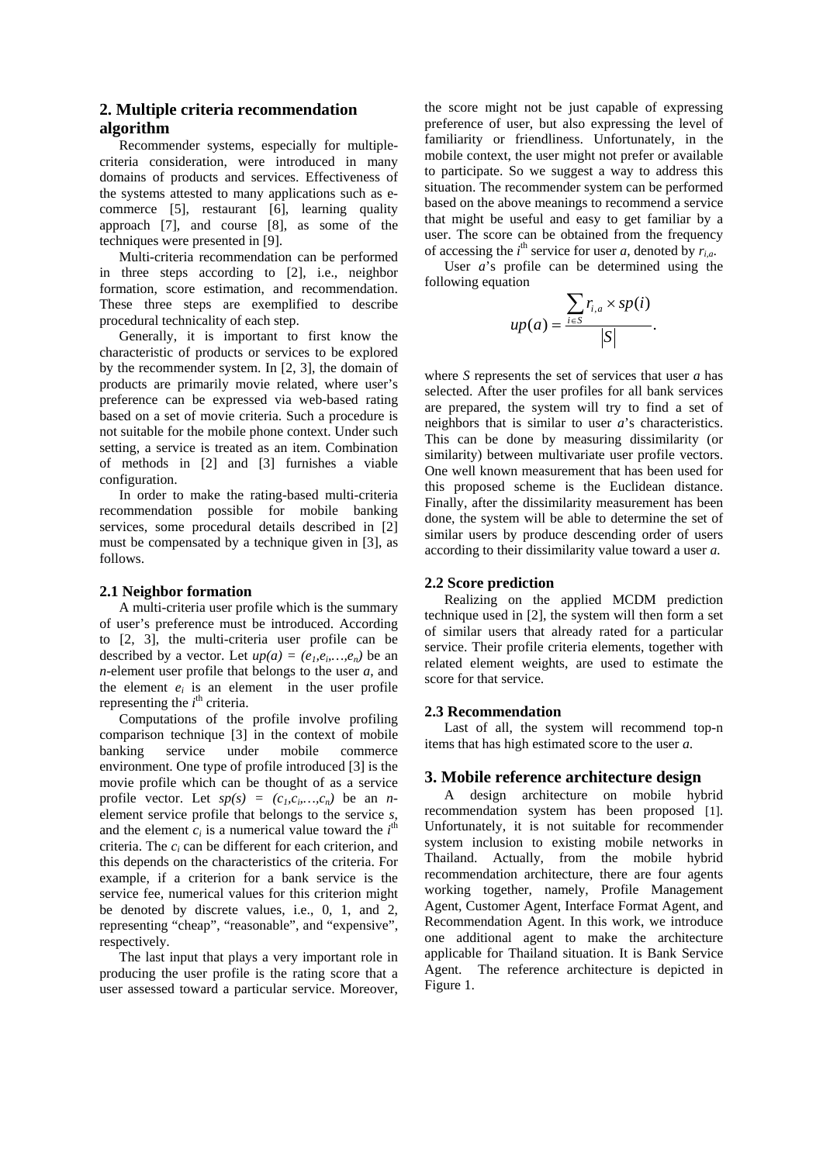# **2. Multiple criteria recommendation algorithm**

Recommender systems, especially for multiplecriteria consideration, were introduced in many domains of products and services. Effectiveness of the systems attested to many applications such as ecommerce [5], restaurant [6], learning quality approach [7], and course [8], as some of the techniques were presented in [9].

Multi-criteria recommendation can be performed in three steps according to [2], i.e., neighbor formation, score estimation, and recommendation. These three steps are exemplified to describe procedural technicality of each step.

Generally, it is important to first know the characteristic of products or services to be explored by the recommender system. In [2, 3], the domain of products are primarily movie related, where user's preference can be expressed via web-based rating based on a set of movie criteria. Such a procedure is not suitable for the mobile phone context. Under such setting, a service is treated as an item. Combination of methods in [2] and [3] furnishes a viable configuration.

In order to make the rating-based multi-criteria recommendation possible for mobile banking services, some procedural details described in [2] must be compensated by a technique given in [3], as follows.

# **2.1 Neighbor formation**

 A multi-criteria user profile which is the summary of user's preference must be introduced. According to [2, 3], the multi-criteria user profile can be described by a vector. Let  $up(a) = (e_1, e_i, \ldots, e_n)$  be an *n*-element user profile that belongs to the user *a*, and the element  $e_i$  is an element in the user profile representing the  $i<sup>th</sup>$  criteria.

Computations of the profile involve profiling comparison technique [3] in the context of mobile banking service under mobile commerce environment. One type of profile introduced [3] is the movie profile which can be thought of as a service profile vector. Let  $sp(s) = (c_1, c_2, \ldots, c_n)$  be an *n*element service profile that belongs to the service *s*, and the element  $c_i$  is a numerical value toward the  $i<sup>th</sup>$ criteria. The *ci* can be different for each criterion, and this depends on the characteristics of the criteria. For example, if a criterion for a bank service is the service fee, numerical values for this criterion might be denoted by discrete values, i.e., 0, 1, and 2, representing "cheap", "reasonable", and "expensive", respectively.

The last input that plays a very important role in producing the user profile is the rating score that a user assessed toward a particular service. Moreover,

the score might not be just capable of expressing preference of user, but also expressing the level of familiarity or friendliness. Unfortunately, in the mobile context, the user might not prefer or available to participate. So we suggest a way to address this situation. The recommender system can be performed based on the above meanings to recommend a service that might be useful and easy to get familiar by a user. The score can be obtained from the frequency of accessing the  $i^{\text{th}}$  service for user *a*, denoted by  $r_{i,a}$ .

User *a*'s profile can be determined using the following equation

$$
up(a) = \frac{\sum_{i \in S} r_{i,a} \times sp(i)}{|S|}.
$$

where *S* represents the set of services that user *a* has selected. After the user profiles for all bank services are prepared, the system will try to find a set of neighbors that is similar to user *a*'s characteristics. This can be done by measuring dissimilarity (or similarity) between multivariate user profile vectors. One well known measurement that has been used for this proposed scheme is the Euclidean distance. Finally, after the dissimilarity measurement has been done, the system will be able to determine the set of similar users by produce descending order of users according to their dissimilarity value toward a user *a.*

# **2.2 Score prediction**

 Realizing on the applied MCDM prediction technique used in [2], the system will then form a set of similar users that already rated for a particular service. Their profile criteria elements, together with related element weights, are used to estimate the score for that service.

#### **2.3 Recommendation**

 Last of all, the system will recommend top-n items that has high estimated score to the user *a*.

### **3. Mobile reference architecture design**

A design architecture on mobile hybrid recommendation system has been proposed [1]. Unfortunately, it is not suitable for recommender system inclusion to existing mobile networks in Thailand. Actually, from the mobile hybrid recommendation architecture, there are four agents working together, namely, Profile Management Agent, Customer Agent, Interface Format Agent, and Recommendation Agent. In this work, we introduce one additional agent to make the architecture applicable for Thailand situation. It is Bank Service Agent. The reference architecture is depicted in Figure 1.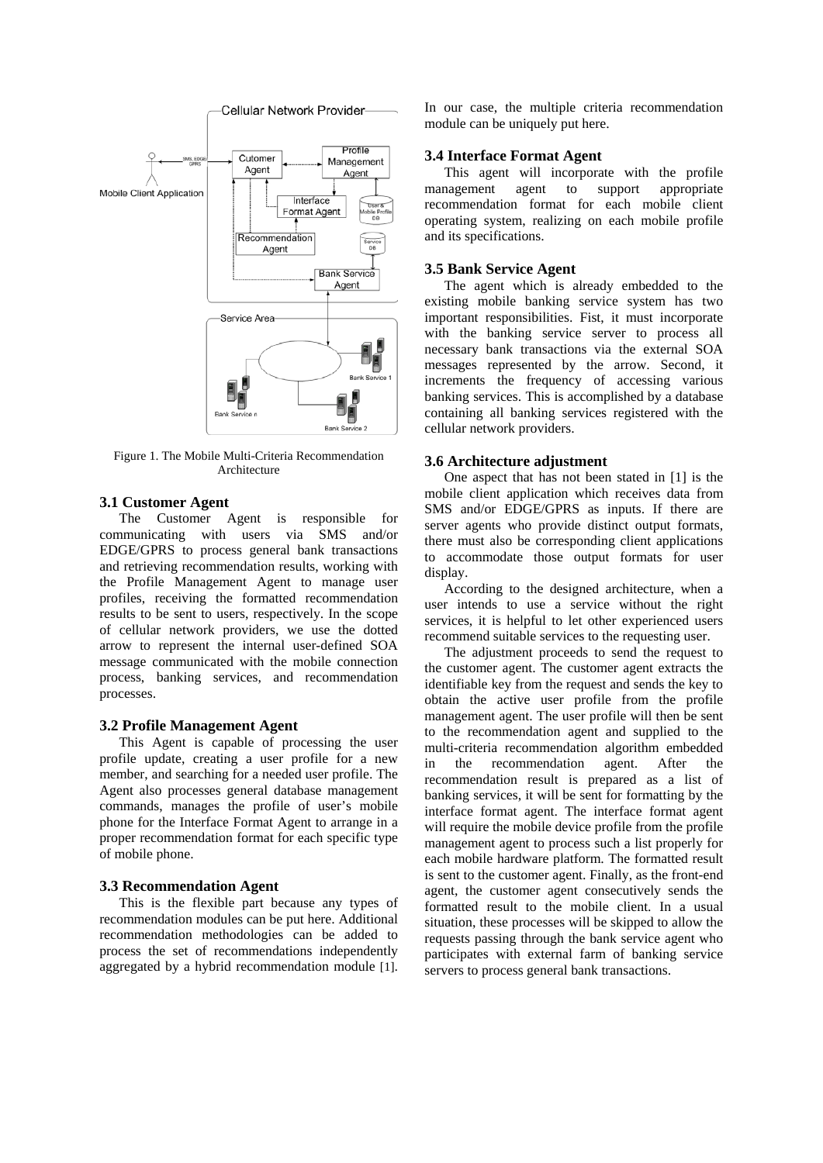

Figure 1. The Mobile Multi-Criteria Recommendation Architecture

# **3.1 Customer Agent**

 The Customer Agent is responsible for communicating with users via SMS and/or EDGE/GPRS to process general bank transactions and retrieving recommendation results, working with the Profile Management Agent to manage user profiles, receiving the formatted recommendation results to be sent to users, respectively. In the scope of cellular network providers, we use the dotted arrow to represent the internal user-defined SOA message communicated with the mobile connection process, banking services, and recommendation processes.

# **3.2 Profile Management Agent**

 This Agent is capable of processing the user profile update, creating a user profile for a new member, and searching for a needed user profile. The Agent also processes general database management commands, manages the profile of user's mobile phone for the Interface Format Agent to arrange in a proper recommendation format for each specific type of mobile phone.

#### **3.3 Recommendation Agent**

 This is the flexible part because any types of recommendation modules can be put here. Additional recommendation methodologies can be added to process the set of recommendations independently aggregated by a hybrid recommendation module [1].

In our case, the multiple criteria recommendation module can be uniquely put here.

# **3.4 Interface Format Agent**

 This agent will incorporate with the profile management agent to support appropriate recommendation format for each mobile client operating system, realizing on each mobile profile and its specifications.

#### **3.5 Bank Service Agent**

 The agent which is already embedded to the existing mobile banking service system has two important responsibilities. Fist, it must incorporate with the banking service server to process all necessary bank transactions via the external SOA messages represented by the arrow. Second, it increments the frequency of accessing various banking services. This is accomplished by a database containing all banking services registered with the cellular network providers.

## **3.6 Architecture adjustment**

 One aspect that has not been stated in [1] is the mobile client application which receives data from SMS and/or EDGE/GPRS as inputs. If there are server agents who provide distinct output formats, there must also be corresponding client applications to accommodate those output formats for user display.

 According to the designed architecture, when a user intends to use a service without the right services, it is helpful to let other experienced users recommend suitable services to the requesting user.

The adjustment proceeds to send the request to the customer agent. The customer agent extracts the identifiable key from the request and sends the key to obtain the active user profile from the profile management agent. The user profile will then be sent to the recommendation agent and supplied to the multi-criteria recommendation algorithm embedded in the recommendation agent. After the recommendation result is prepared as a list of banking services, it will be sent for formatting by the interface format agent. The interface format agent will require the mobile device profile from the profile management agent to process such a list properly for each mobile hardware platform. The formatted result is sent to the customer agent. Finally, as the front-end agent, the customer agent consecutively sends the formatted result to the mobile client. In a usual situation, these processes will be skipped to allow the requests passing through the bank service agent who participates with external farm of banking service servers to process general bank transactions.